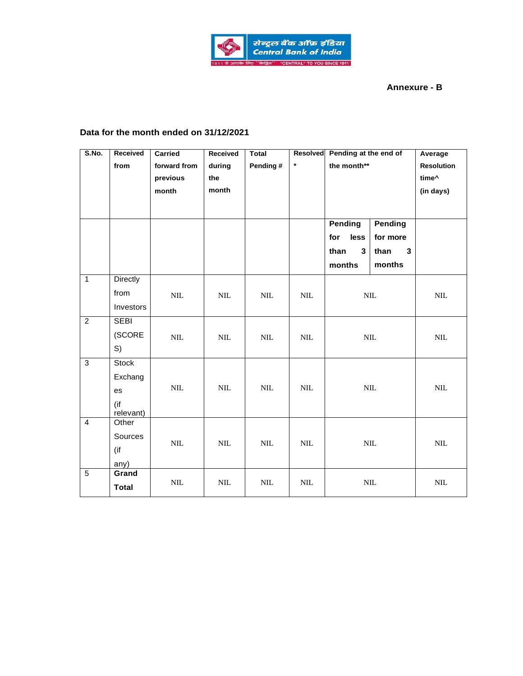

## **Annexure - B**

## **Data for the month ended on 31/12/2021**

| S.No.          | Received         | Carried      | Received     | <b>Total</b> |              | Resolved Pending at the end of |              | Average           |
|----------------|------------------|--------------|--------------|--------------|--------------|--------------------------------|--------------|-------------------|
|                | from             | forward from | during       | Pending #    | $\star$      | the month**                    |              | <b>Resolution</b> |
|                |                  | previous     | the          |              |              |                                |              | time^             |
|                |                  | month        | month        |              |              |                                |              | (in days)         |
|                |                  |              |              |              |              |                                |              |                   |
|                |                  |              |              |              |              |                                |              |                   |
|                |                  |              |              |              |              | <b>Pending</b>                 | Pending      |                   |
|                |                  |              |              |              |              | for<br>less                    | for more     |                   |
|                |                  |              |              |              |              | $\mathbf{3}$<br>than           | than<br>3    |                   |
|                |                  |              |              |              |              | months                         | months       |                   |
| $\overline{1}$ | <b>Directly</b>  |              |              |              |              |                                |              |                   |
|                | from             | $\mbox{NIL}$ | $\mbox{NIL}$ | $\text{NIL}$ | $\rm NIL$    | $\mbox{NIL}$                   |              | $\mbox{NIL}$      |
|                | Investors        |              |              |              |              |                                |              |                   |
| $\overline{2}$ | <b>SEBI</b>      |              |              |              |              | $\mbox{NIL}$                   |              |                   |
|                | (SCORE           | $\mbox{NIL}$ | $\mbox{NIL}$ | $\mbox{NIL}$ | $\text{NIL}$ |                                |              | $\mbox{NIL}$      |
|                | S)               |              |              |              |              |                                |              |                   |
| 3              | <b>Stock</b>     |              |              |              |              |                                |              |                   |
|                | Exchang          |              |              |              |              | $\text{NIL}$                   |              |                   |
|                | es               | $\mbox{NIL}$ | $\text{NIL}$ | $\text{NIL}$ | NIL          |                                |              | $\text{NIL}$      |
|                | (if<br>relevant) |              |              |              |              |                                |              |                   |
| $\overline{4}$ | Other            |              |              |              |              |                                |              |                   |
|                | Sources          |              |              |              |              | $\mbox{NIL}$                   |              |                   |
|                | (if              | $\rm NIL$    | $\text{NIL}$ | <b>NIL</b>   | $\text{NIL}$ |                                |              | $\text{NIL}$      |
|                | any)             |              |              |              |              |                                |              |                   |
| $\overline{5}$ | Grand            |              |              |              |              |                                |              |                   |
|                | <b>Total</b>     | $\mbox{NIL}$ | $\mbox{NIL}$ | <b>NIL</b>   | $\mbox{NIL}$ |                                | $\mbox{NIL}$ | $\rm NIL$         |